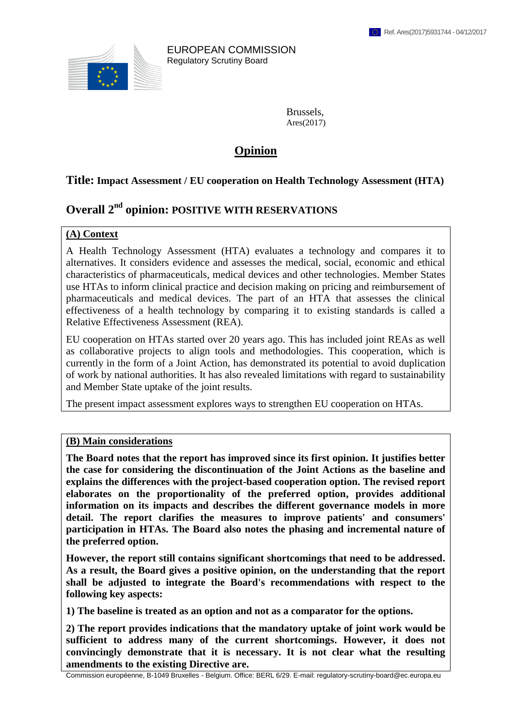

EUROPEAN COMMISSION Regulatory Scrutiny Board

> Brussels, Ares(2017)

# **Opinion**

#### **Title: Impact Assessment / EU cooperation on Health Technology Assessment (HTA)**

# **Overall 2 nd opinion: POSITIVE WITH RESERVATIONS**

#### **(A) Context**

A Health Technology Assessment (HTA) evaluates a technology and compares it to alternatives. It considers evidence and assesses the medical, social, economic and ethical characteristics of pharmaceuticals, medical devices and other technologies. Member States use HTAs to inform clinical practice and decision making on pricing and reimbursement of pharmaceuticals and medical devices. The part of an HTA that assesses the clinical effectiveness of a health technology by comparing it to existing standards is called a Relative Effectiveness Assessment (REA).

EU cooperation on HTAs started over 20 years ago. This has included joint REAs as well as collaborative projects to align tools and methodologies. This cooperation, which is currently in the form of a Joint Action, has demonstrated its potential to avoid duplication of work by national authorities. It has also revealed limitations with regard to sustainability and Member State uptake of the joint results.

The present impact assessment explores ways to strengthen EU cooperation on HTAs.

#### **(B) Main considerations**

**The Board notes that the report has improved since its first opinion. It justifies better the case for considering the discontinuation of the Joint Actions as the baseline and explains the differences with the project-based cooperation option. The revised report elaborates on the proportionality of the preferred option, provides additional information on its impacts and describes the different governance models in more detail. The report clarifies the measures to improve patients' and consumers' participation in HTAs. The Board also notes the phasing and incremental nature of the preferred option.** 

**However, the report still contains significant shortcomings that need to be addressed. As a result, the Board gives a positive opinion, on the understanding that the report shall be adjusted to integrate the Board's recommendations with respect to the following key aspects:**

**1) The baseline is treated as an option and not as a comparator for the options.**

**2) The report provides indications that the mandatory uptake of joint work would be sufficient to address many of the current shortcomings. However, it does not convincingly demonstrate that it is necessary. It is not clear what the resulting amendments to the existing Directive are.** 

Commission européenne, B-1049 Bruxelles - Belgium. Office: BERL 6/29. E-mail: regulatory-scrutiny-board@ec.europa.eu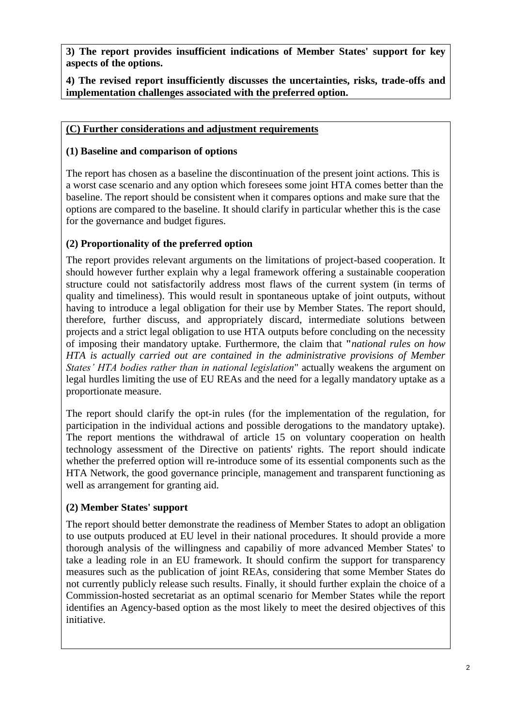**3) The report provides insufficient indications of Member States' support for key aspects of the options.**

**4) The revised report insufficiently discusses the uncertainties, risks, trade-offs and implementation challenges associated with the preferred option.**

#### **(C) Further considerations and adjustment requirements**

## **(1) Baseline and comparison of options**

The report has chosen as a baseline the discontinuation of the present joint actions. This is a worst case scenario and any option which foresees some joint HTA comes better than the baseline. The report should be consistent when it compares options and make sure that the options are compared to the baseline. It should clarify in particular whether this is the case for the governance and budget figures.

### **(2) Proportionality of the preferred option**

The report provides relevant arguments on the limitations of project-based cooperation. It should however further explain why a legal framework offering a sustainable cooperation structure could not satisfactorily address most flaws of the current system (in terms of quality and timeliness). This would result in spontaneous uptake of joint outputs, without having to introduce a legal obligation for their use by Member States. The report should, therefore, further discuss, and appropriately discard, intermediate solutions between projects and a strict legal obligation to use HTA outputs before concluding on the necessity of imposing their mandatory uptake. Furthermore, the claim that **"***national rules on how HTA is actually carried out are contained in the administrative provisions of Member States' HTA bodies rather than in national legislation*" actually weakens the argument on legal hurdles limiting the use of EU REAs and the need for a legally mandatory uptake as a proportionate measure.

The report should clarify the opt-in rules (for the implementation of the regulation, for participation in the individual actions and possible derogations to the mandatory uptake). The report mentions the withdrawal of article 15 on voluntary cooperation on health technology assessment of the Directive on patients' rights. The report should indicate whether the preferred option will re-introduce some of its essential components such as the HTA Network, the good governance principle, management and transparent functioning as well as arrangement for granting aid.

#### **(2) Member States' support**

The report should better demonstrate the readiness of Member States to adopt an obligation to use outputs produced at EU level in their national procedures. It should provide a more thorough analysis of the willingness and capabiliy of more advanced Member States' to take a leading role in an EU framework. It should confirm the support for transparency measures such as the publication of joint REAs, considering that some Member States do not currently publicly release such results. Finally, it should further explain the choice of a Commission-hosted secretariat as an optimal scenario for Member States while the report identifies an Agency-based option as the most likely to meet the desired objectives of this initiative.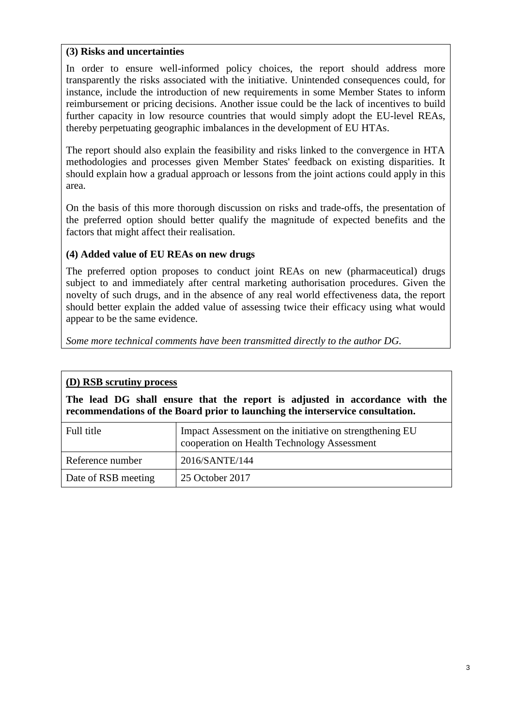#### **(3) Risks and uncertainties**

In order to ensure well-informed policy choices, the report should address more transparently the risks associated with the initiative. Unintended consequences could, for instance, include the introduction of new requirements in some Member States to inform reimbursement or pricing decisions. Another issue could be the lack of incentives to build further capacity in low resource countries that would simply adopt the EU-level REAs, thereby perpetuating geographic imbalances in the development of EU HTAs.

The report should also explain the feasibility and risks linked to the convergence in HTA methodologies and processes given Member States' feedback on existing disparities. It should explain how a gradual approach or lessons from the joint actions could apply in this area.

On the basis of this more thorough discussion on risks and trade-offs, the presentation of the preferred option should better qualify the magnitude of expected benefits and the factors that might affect their realisation.

## **(4) Added value of EU REAs on new drugs**

The preferred option proposes to conduct joint REAs on new (pharmaceutical) drugs subject to and immediately after central marketing authorisation procedures. Given the novelty of such drugs, and in the absence of any real world effectiveness data, the report should better explain the added value of assessing twice their efficacy using what would appear to be the same evidence.

*Some more technical comments have been transmitted directly to the author DG.*

## **(D) RSB scrutiny process**

**The lead DG shall ensure that the report is adjusted in accordance with the recommendations of the Board prior to launching the interservice consultation.**

| Full title          | Impact Assessment on the initiative on strengthening EU<br>cooperation on Health Technology Assessment |
|---------------------|--------------------------------------------------------------------------------------------------------|
| Reference number    | 2016/SANTE/144                                                                                         |
| Date of RSB meeting | 25 October 2017                                                                                        |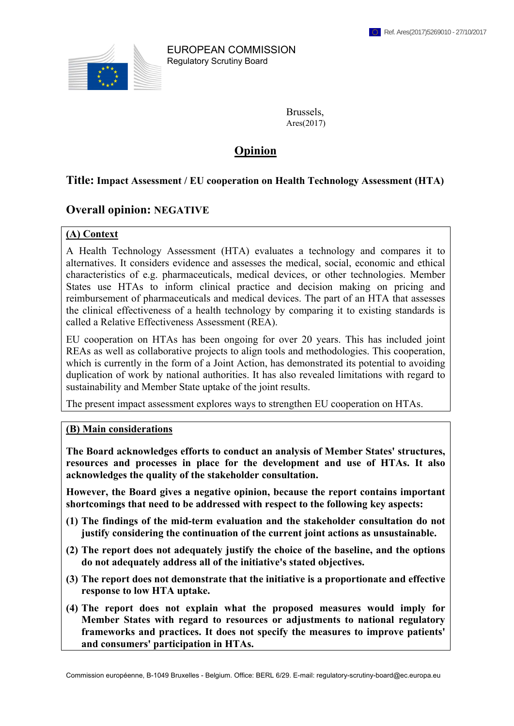

EUROPEAN COMMISSION Regulatory Scrutiny Board

> Brussels, Ares(2017)

# **Opinion**

#### **Title: Impact Assessment / EU cooperation on Health Technology Assessment (HTA)**

## **Overall opinion: NEGATIVE**

#### **(A) Context**

A Health Technology Assessment (HTA) evaluates a technology and compares it to alternatives. It considers evidence and assesses the medical, social, economic and ethical characteristics of e.g. pharmaceuticals, medical devices, or other technologies. Member States use HTAs to inform clinical practice and decision making on pricing and reimbursement of pharmaceuticals and medical devices. The part of an HTA that assesses the clinical effectiveness of a health technology by comparing it to existing standards is called a Relative Effectiveness Assessment (REA).

EU cooperation on HTAs has been ongoing for over 20 years. This has included joint REAs as well as collaborative projects to align tools and methodologies. This cooperation, which is currently in the form of a Joint Action, has demonstrated its potential to avoiding duplication of work by national authorities. It has also revealed limitations with regard to sustainability and Member State uptake of the joint results.

The present impact assessment explores ways to strengthen EU cooperation on HTAs.

#### **(B) Main considerations**

**The Board acknowledges efforts to conduct an analysis of Member States' structures, resources and processes in place for the development and use of HTAs. It also acknowledges the quality of the stakeholder consultation.** 

**However, the Board gives a negative opinion, because the report contains important shortcomings that need to be addressed with respect to the following key aspects:** 

- **(1) The findings of the mid-term evaluation and the stakeholder consultation do not justify considering the continuation of the current joint actions as unsustainable.**
- **(2) The report does not adequately justify the choice of the baseline, and the options do not adequately address all of the initiative's stated objectives.**
- **(3) The report does not demonstrate that the initiative is a proportionate and effective response to low HTA uptake.**
- **(4) The report does not explain what the proposed measures would imply for Member States with regard to resources or adjustments to national regulatory frameworks and practices. It does not specify the measures to improve patients' and consumers' participation in HTAs.**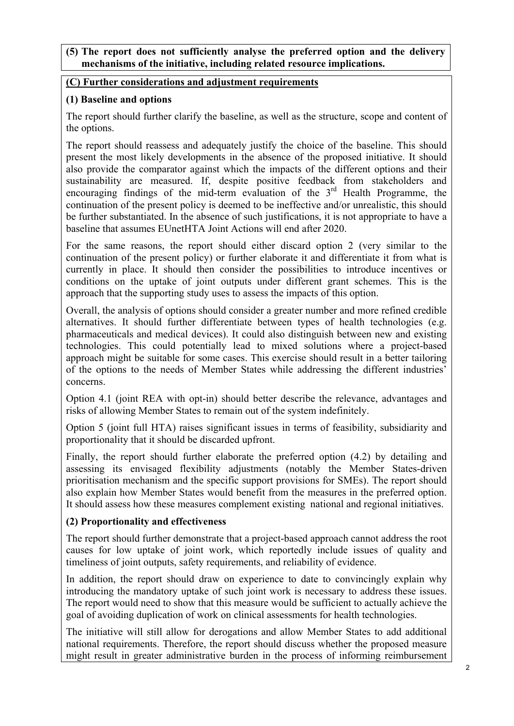#### **(5) The report does not sufficiently analyse the preferred option and the delivery mechanisms of the initiative, including related resource implications.**

#### **(C) Further considerations and adjustment requirements**

### **(1) Baseline and options**

The report should further clarify the baseline, as well as the structure, scope and content of the options.

The report should reassess and adequately justify the choice of the baseline. This should present the most likely developments in the absence of the proposed initiative. It should also provide the comparator against which the impacts of the different options and their sustainability are measured. If, despite positive feedback from stakeholders and encouraging findings of the mid-term evaluation of the  $3<sup>rd</sup>$  Health Programme, the continuation of the present policy is deemed to be ineffective and/or unrealistic, this should be further substantiated. In the absence of such justifications, it is not appropriate to have a baseline that assumes EUnetHTA Joint Actions will end after 2020.

For the same reasons, the report should either discard option 2 (very similar to the continuation of the present policy) or further elaborate it and differentiate it from what is currently in place. It should then consider the possibilities to introduce incentives or conditions on the uptake of joint outputs under different grant schemes. This is the approach that the supporting study uses to assess the impacts of this option.

Overall, the analysis of options should consider a greater number and more refined credible alternatives. It should further differentiate between types of health technologies (e.g. pharmaceuticals and medical devices). It could also distinguish between new and existing technologies. This could potentially lead to mixed solutions where a project-based approach might be suitable for some cases. This exercise should result in a better tailoring of the options to the needs of Member States while addressing the different industries' concerns.

Option 4.1 (joint REA with opt-in) should better describe the relevance, advantages and risks of allowing Member States to remain out of the system indefinitely.

Option 5 (joint full HTA) raises significant issues in terms of feasibility, subsidiarity and proportionality that it should be discarded upfront.

Finally, the report should further elaborate the preferred option (4.2) by detailing and assessing its envisaged flexibility adjustments (notably the Member States-driven prioritisation mechanism and the specific support provisions for SMEs). The report should also explain how Member States would benefit from the measures in the preferred option. It should assess how these measures complement existing national and regional initiatives.

## **(2) Proportionality and effectiveness**

The report should further demonstrate that a project-based approach cannot address the root causes for low uptake of joint work, which reportedly include issues of quality and timeliness of joint outputs, safety requirements, and reliability of evidence.

In addition, the report should draw on experience to date to convincingly explain why introducing the mandatory uptake of such joint work is necessary to address these issues. The report would need to show that this measure would be sufficient to actually achieve the goal of avoiding duplication of work on clinical assessments for health technologies.

The initiative will still allow for derogations and allow Member States to add additional national requirements. Therefore, the report should discuss whether the proposed measure might result in greater administrative burden in the process of informing reimbursement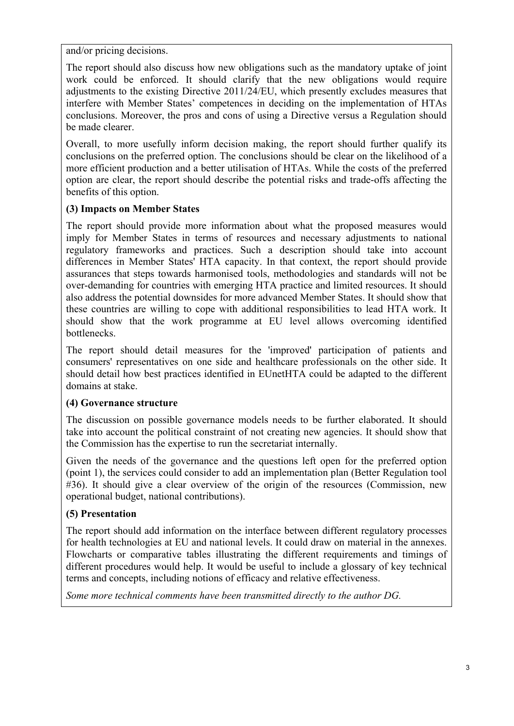and/or pricing decisions.

The report should also discuss how new obligations such as the mandatory uptake of joint work could be enforced. It should clarify that the new obligations would require adjustments to the existing Directive 2011/24/EU, which presently excludes measures that interfere with Member States' competences in deciding on the implementation of HTAs conclusions. Moreover, the pros and cons of using a Directive versus a Regulation should be made clearer.

Overall, to more usefully inform decision making, the report should further qualify its conclusions on the preferred option. The conclusions should be clear on the likelihood of a more efficient production and a better utilisation of HTAs. While the costs of the preferred option are clear, the report should describe the potential risks and trade-offs affecting the benefits of this option.

### **(3) Impacts on Member States**

The report should provide more information about what the proposed measures would imply for Member States in terms of resources and necessary adjustments to national regulatory frameworks and practices. Such a description should take into account differences in Member States' HTA capacity. In that context, the report should provide assurances that steps towards harmonised tools, methodologies and standards will not be over-demanding for countries with emerging HTA practice and limited resources. It should also address the potential downsides for more advanced Member States. It should show that these countries are willing to cope with additional responsibilities to lead HTA work. It should show that the work programme at EU level allows overcoming identified bottlenecks.

The report should detail measures for the 'improved' participation of patients and consumers' representatives on one side and healthcare professionals on the other side. It should detail how best practices identified in EUnetHTA could be adapted to the different domains at stake.

#### **(4) Governance structure**

The discussion on possible governance models needs to be further elaborated. It should take into account the political constraint of not creating new agencies. It should show that the Commission has the expertise to run the secretariat internally.

Given the needs of the governance and the questions left open for the preferred option (point 1), the services could consider to add an implementation plan (Better Regulation tool #36). It should give a clear overview of the origin of the resources (Commission, new operational budget, national contributions).

## **(5) Presentation**

The report should add information on the interface between different regulatory processes for health technologies at EU and national levels. It could draw on material in the annexes. Flowcharts or comparative tables illustrating the different requirements and timings of different procedures would help. It would be useful to include a glossary of key technical terms and concepts, including notions of efficacy and relative effectiveness.

*Some more technical comments have been transmitted directly to the author DG.*